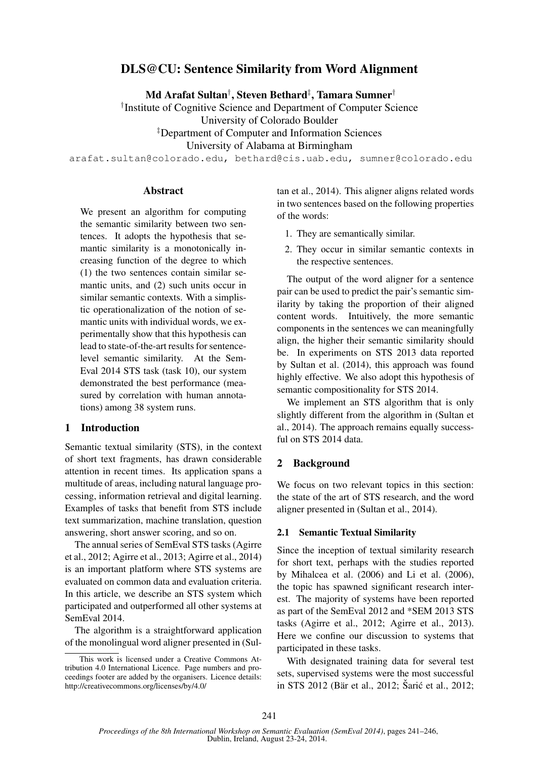# DLS@CU: Sentence Similarity from Word Alignment

Md Arafat Sultan† , Steven Bethard‡ , Tamara Sumner†

† Institute of Cognitive Science and Department of Computer Science

University of Colorado Boulder

‡Department of Computer and Information Sciences

University of Alabama at Birmingham

arafat.sultan@colorado.edu, bethard@cis.uab.edu, sumner@colorado.edu

### **Abstract**

We present an algorithm for computing the semantic similarity between two sentences. It adopts the hypothesis that semantic similarity is a monotonically increasing function of the degree to which (1) the two sentences contain similar semantic units, and (2) such units occur in similar semantic contexts. With a simplistic operationalization of the notion of semantic units with individual words, we experimentally show that this hypothesis can lead to state-of-the-art results for sentencelevel semantic similarity. At the Sem-Eval 2014 STS task (task 10), our system demonstrated the best performance (measured by correlation with human annotations) among 38 system runs.

### 1 Introduction

Semantic textual similarity (STS), in the context of short text fragments, has drawn considerable attention in recent times. Its application spans a multitude of areas, including natural language processing, information retrieval and digital learning. Examples of tasks that benefit from STS include text summarization, machine translation, question answering, short answer scoring, and so on.

The annual series of SemEval STS tasks (Agirre et al., 2012; Agirre et al., 2013; Agirre et al., 2014) is an important platform where STS systems are evaluated on common data and evaluation criteria. In this article, we describe an STS system which participated and outperformed all other systems at SemEval 2014.

The algorithm is a straightforward application of the monolingual word aligner presented in (Sultan et al., 2014). This aligner aligns related words in two sentences based on the following properties of the words:

- 1. They are semantically similar.
- 2. They occur in similar semantic contexts in the respective sentences.

The output of the word aligner for a sentence pair can be used to predict the pair's semantic similarity by taking the proportion of their aligned content words. Intuitively, the more semantic components in the sentences we can meaningfully align, the higher their semantic similarity should be. In experiments on STS 2013 data reported by Sultan et al. (2014), this approach was found highly effective. We also adopt this hypothesis of semantic compositionality for STS 2014.

We implement an STS algorithm that is only slightly different from the algorithm in (Sultan et al., 2014). The approach remains equally successful on STS 2014 data.

# 2 Background

We focus on two relevant topics in this section: the state of the art of STS research, and the word aligner presented in (Sultan et al., 2014).

#### 2.1 Semantic Textual Similarity

Since the inception of textual similarity research for short text, perhaps with the studies reported by Mihalcea et al. (2006) and Li et al. (2006), the topic has spawned significant research interest. The majority of systems have been reported as part of the SemEval 2012 and \*SEM 2013 STS tasks (Agirre et al., 2012; Agirre et al., 2013). Here we confine our discussion to systems that participated in these tasks.

With designated training data for several test sets, supervised systems were the most successful in STS 2012 (Bär et al., 2012; Šarić et al., 2012;

This work is licensed under a Creative Commons Attribution 4.0 International Licence. Page numbers and proceedings footer are added by the organisers. Licence details: http://creativecommons.org/licenses/by/4.0/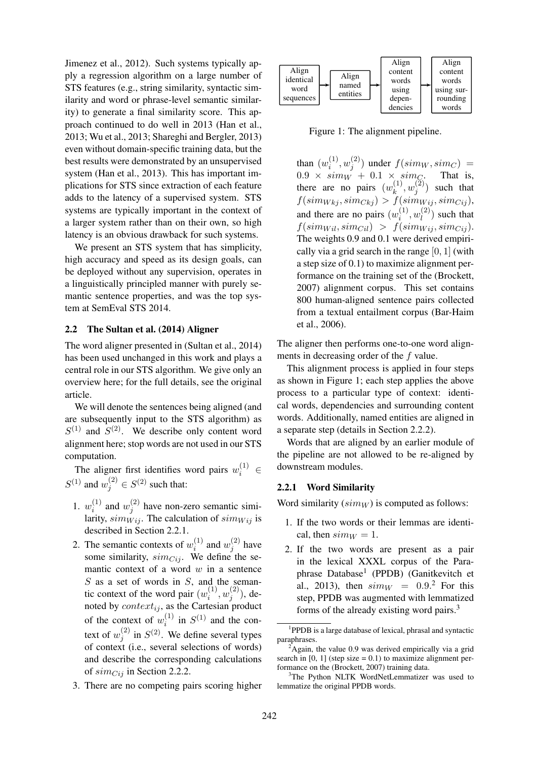Jimenez et al., 2012). Such systems typically apply a regression algorithm on a large number of STS features (e.g., string similarity, syntactic similarity and word or phrase-level semantic similarity) to generate a final similarity score. This approach continued to do well in 2013 (Han et al., 2013; Wu et al., 2013; Shareghi and Bergler, 2013) even without domain-specific training data, but the best results were demonstrated by an unsupervised system (Han et al., 2013). This has important implications for STS since extraction of each feature adds to the latency of a supervised system. STS systems are typically important in the context of a larger system rather than on their own, so high latency is an obvious drawback for such systems.

We present an STS system that has simplicity, high accuracy and speed as its design goals, can be deployed without any supervision, operates in a linguistically principled manner with purely semantic sentence properties, and was the top system at SemEval STS 2014.

#### 2.2 The Sultan et al. (2014) Aligner

The word aligner presented in (Sultan et al., 2014) has been used unchanged in this work and plays a central role in our STS algorithm. We give only an overview here; for the full details, see the original article.

We will denote the sentences being aligned (and are subsequently input to the STS algorithm) as  $S^{(1)}$  and  $S^{(2)}$ . We describe only content word alignment here; stop words are not used in our STS computation.

The aligner first identifies word pairs  $w_i^{(1)} \in$  $S^{(1)}$  and  $w_j^{(2)} \in S^{(2)}$  such that:

- 1.  $w_i^{(1)}$  $\binom{1}{i}$  and  $w_j^{(2)}$  $j^{(2)}$  have non-zero semantic similarity,  $sim_{Wi}$ . The calculation of  $sim_{Wi}$  is described in Section 2.2.1.
- 2. The semantic contexts of  $w_i^{(1)}$  $\binom{1}{i}$  and  $w_j^{(2)}$  $j^{(2)}$  have some similarity,  $\sin c_{ij}$ . We define the semantic context of a word  $w$  in a sentence  $S$  as a set of words in  $S$ , and the semantic context of the word pair  $(w_i^{(1)})$  $\binom{10}{i}, w_j^{(2)}$  $j^{(2)}$ ), denoted by  $context_{ij}$ , as the Cartesian product of the context of  $w_i^{(1)}$  $i^{(1)}$  in  $S^{(1)}$  and the context of  $w_i^{(2)}$  $j^{(2)}$  in  $S^{(2)}$ . We define several types of context (i.e., several selections of words) and describe the corresponding calculations of  $sim_{Cij}$  in Section 2.2.2.
- 3. There are no competing pairs scoring higher



Figure 1: The alignment pipeline.

than  $(w_i^{(1)}$  $\boldsymbol{w}_i^{(1)}, \boldsymbol{w}_j^{(2)}$  $j_j^{(2)}$ ) under  $f(sim_W, sim_C)$  =  $0.9 \times sim_W + 0.1 \times sim_{\text{C}}$ . That is, there are no pairs  $(w_k^{(1)})$  $\binom{(1)}{k},w^{(2)}_j$  $j^{(2)}$ ) such that  $f(sim_{Wkj}, sim_{Ckj}) > f(sim_{Wij}, sim_{Cij}),$ and there are no pairs  $(w_i^{(1)})$  $u_l^{(1)}, w_l^{(2)}$  $\binom{2}{l}$  such that  $f(\text{sim}_{Wil}, \text{sim}_{Cil}) > f(\text{sim}_{Wij}, \text{sim}_{Cij}).$ The weights 0.9 and 0.1 were derived empirically via a grid search in the range  $[0, 1]$  (with a step size of 0.1) to maximize alignment performance on the training set of the (Brockett, 2007) alignment corpus. This set contains 800 human-aligned sentence pairs collected from a textual entailment corpus (Bar-Haim et al., 2006).

The aligner then performs one-to-one word alignments in decreasing order of the f value.

This alignment process is applied in four steps as shown in Figure 1; each step applies the above process to a particular type of context: identical words, dependencies and surrounding content words. Additionally, named entities are aligned in a separate step (details in Section 2.2.2).

Words that are aligned by an earlier module of the pipeline are not allowed to be re-aligned by downstream modules.

#### 2.2.1 Word Similarity

Word similarity  $(sim_W)$  is computed as follows:

- 1. If the two words or their lemmas are identical, then  $sim_W = 1$ .
- 2. If the two words are present as a pair in the lexical XXXL corpus of the Paraphrase Database<sup>1</sup> (PPDB) (Ganitkevitch et al., 2013), then  $sim_W = 0.9$ .<sup>2</sup> For this step, PPDB was augmented with lemmatized forms of the already existing word pairs.<sup>3</sup>

<sup>&</sup>lt;sup>1</sup>PPDB is a large database of lexical, phrasal and syntactic paraphrases.

<sup>2</sup>Again, the value 0.9 was derived empirically via a grid search in  $[0, 1]$  (step size = 0.1) to maximize alignment performance on the (Brockett, 2007) training data.

<sup>&</sup>lt;sup>3</sup>The Python NLTK WordNetLemmatizer was used to lemmatize the original PPDB words.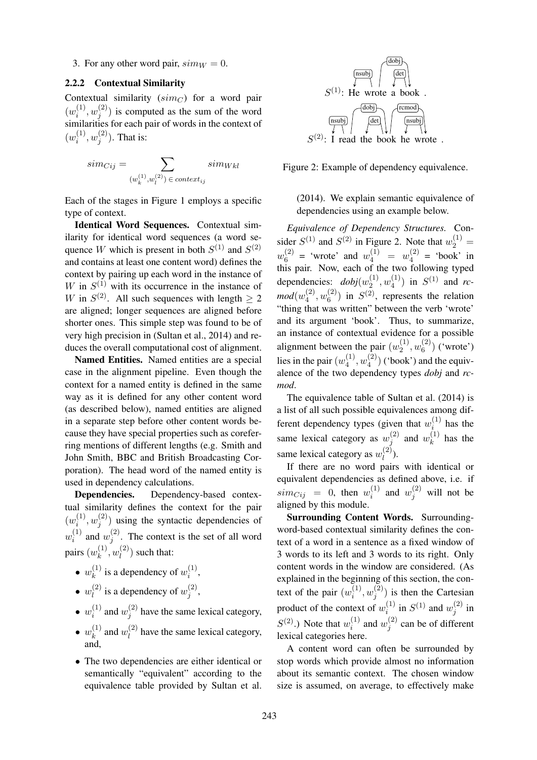3. For any other word pair,  $sim_W = 0$ .

# 2.2.2 Contextual Similarity

Contextual similarity  $(sim_C)$  for a word pair  $(w_i^{(1)}$  $\binom{10}{i},w_j^{(2)}$  $j^{(2)}$ ) is computed as the sum of the word similarities for each pair of words in the context of  $(w_i^{(1)}$  $\boldsymbol{u}_i^{(1)}, \boldsymbol{w}_j^{(2)}$  $j^{(2)}$ ). That is:

$$
sim_{Cij} = \sum_{(w_k^{(1)}, w_l^{(2)}) \in context_{ij}} sim_{Wkl}
$$

Each of the stages in Figure 1 employs a specific type of context.

Identical Word Sequences. Contextual similarity for identical word sequences (a word sequence W which is present in both  $S^{(1)}$  and  $S^{(2)}$ and contains at least one content word) defines the context by pairing up each word in the instance of W in  $S^{(1)}$  with its occurrence in the instance of W in  $S^{(2)}$ . All such sequences with length  $\geq 2$ are aligned; longer sequences are aligned before shorter ones. This simple step was found to be of very high precision in (Sultan et al., 2014) and reduces the overall computational cost of alignment.

Named Entities. Named entities are a special case in the alignment pipeline. Even though the context for a named entity is defined in the same way as it is defined for any other content word (as described below), named entities are aligned in a separate step before other content words because they have special properties such as coreferring mentions of different lengths (e.g. Smith and John Smith, BBC and British Broadcasting Corporation). The head word of the named entity is used in dependency calculations.

Dependencies. Dependency-based contextual similarity defines the context for the pair  $(w_i^{(1)}$  $\boldsymbol{u}_i^{(1)}, \boldsymbol{w}_j^{(2)}$  $j^{(2)}$ ) using the syntactic dependencies of  $w_i^{(1)}$  $\binom{1}{i}$  and  $w_j^{(2)}$  $j^{(2)}$ . The context is the set of all word pairs  $(w_k^{(1)}$  $\binom{(1)}{k},w_{l}^{(2)}$  $\binom{2}{l}$  such that:

- $\bullet\;w_k^{(1)}$  $\binom{1}{k}$  is a dependency of  $w_i^{(1)}$  $i^{(1)},$
- $\bullet\;w^{(2)}_l$  $\binom{2}{l}$  is a dependency of  $w_j^{(2)}$  $j^{(2)}$ ,
- $\bullet\;w_i^{(1)}$  $i^{(1)}$  and  $w_j^{(2)}$  $j_j^{(2)}$  have the same lexical category,
- $\bullet\;w_k^{(1)}$  $\binom{1}{k}$  and  $w_l^{(2)}$  $\binom{1}{l}$  have the same lexical category, and,
- The two dependencies are either identical or semantically "equivalent" according to the equivalence table provided by Sultan et al.



Figure 2: Example of dependency equivalence.

# (2014). We explain semantic equivalence of dependencies using an example below.

*Equivalence of Dependency Structures.* Consider  $S^{(1)}$  and  $S^{(2)}$  in Figure 2. Note that  $w_2^{(1)} =$  $w_6^{(2)}$  $y_6^{(2)} = '$  wrote' and  $w_4^{(1)} = w_4^{(2)}$  $y_4^{(2)}$  = 'book' in this pair. Now, each of the two following typed dependencies:  $dobj(w_2^{(1)})$  $w_2^{\left(1\right)}, w_4^{\left(1\right)}$  $S^{(1)}$  in  $S^{(1)}$  and *rc* $mod(w_4^{(2)}$  $u_4^{(2)}, w_6^{(2)}$  $\binom{2}{6}$  in  $S^{(2)}$ , represents the relation "thing that was written" between the verb 'wrote' and its argument 'book'. Thus, to summarize, an instance of contextual evidence for a possible alignment between the pair  $(w_2^{(1)})$  $w_2^{\left(1\right)}, w_6^{\left(2\right)}$  $\binom{2}{6}$  ('wrote') lies in the pair  $(w_4^{(1)}$  $\mathbf{u}_4^{(1)}, \mathbf{w}_4^{(2)}$  $\binom{2}{4}$  ('book') and the equivalence of the two dependency types *dobj* and *rcmod*.

The equivalence table of Sultan et al. (2014) is a list of all such possible equivalences among different dependency types (given that  $w_i^{(1)}$  has the i same lexical category as  $w_i^{(2)}$  $y_j^{(2)}$  and  $w_k^{(1)}$  $h_k^{(1)}$  has the same lexical category as  $w_l^{(2)}$  $\binom{2}{l}$ .

If there are no word pairs with identical or equivalent dependencies as defined above, i.e. if  $\quad \, sim_{Cij} \,\, = \,\, 0, \,\, \text{then} \,\, \, w_i^{(1)}$  $u_i^{(1)}$  and  $w_j^{(2)}$  will not be aligned by this module.

Surrounding Content Words. Surroundingword-based contextual similarity defines the context of a word in a sentence as a fixed window of 3 words to its left and 3 words to its right. Only content words in the window are considered. (As explained in the beginning of this section, the context of the pair  $(w_i^{(1)})$  $\hat{u}_i^{(1)}, w_j^{(2)}$  $j_j^{(2)}$ ) is then the Cartesian product of the context of  $w_i^{(1)}$  $i^{(1)}$  in  $S^{(1)}$  and  $w_j^{(2)}$  $j^{(2)}$  in  $S^{(2)}$ .) Note that  $w_i^{(1)}$  $w_i^{(1)}$  and  $w_j^{(2)}$  $j_j^{(2)}$  can be of different lexical categories here.

A content word can often be surrounded by stop words which provide almost no information about its semantic context. The chosen window size is assumed, on average, to effectively make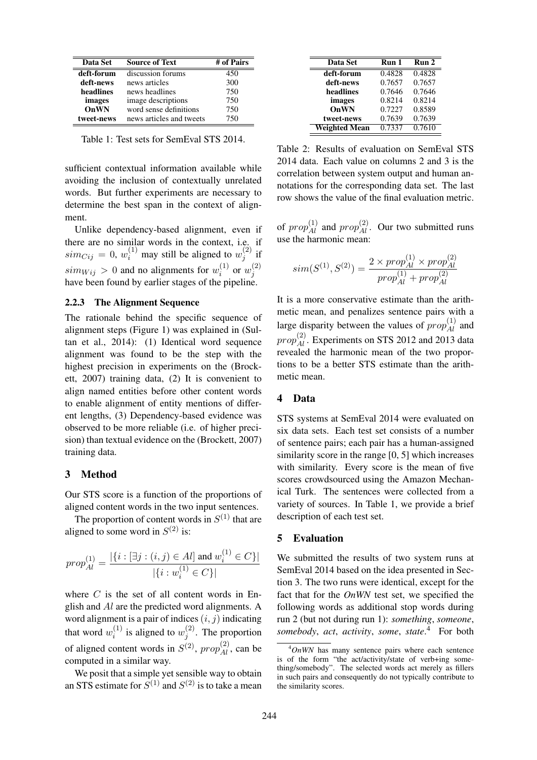| <b>Data Set</b> | <b>Source of Text</b>    | # of Pairs |
|-----------------|--------------------------|------------|
| deft-forum      | discussion forums        | 450        |
| deft-news       | news articles            | 300        |
| headlines       | news headlines           | 750        |
| images          | image descriptions       | 750        |
| OnWN            | word sense definitions   | 750        |
| tweet-news      | news articles and tweets | 750        |

Table 1: Test sets for SemEval STS 2014.

sufficient contextual information available while avoiding the inclusion of contextually unrelated words. But further experiments are necessary to determine the best span in the context of alignment.

Unlike dependency-based alignment, even if there are no similar words in the context, i.e. if  $sim_{Cij} = 0$ ,  $w_i^{(1)}$  may still be aligned to  $w_j^{(2)}$  $j^{(4)}$  if  $sim_{Wij} > 0$  and no alignments for  $w_i^{(1)}$  $\stackrel{(1)}{i}$  or  $w_j^{(2)}$ j have been found by earlier stages of the pipeline.

### 2.2.3 The Alignment Sequence

The rationale behind the specific sequence of alignment steps (Figure 1) was explained in (Sultan et al., 2014): (1) Identical word sequence alignment was found to be the step with the highest precision in experiments on the (Brockett, 2007) training data, (2) It is convenient to align named entities before other content words to enable alignment of entity mentions of different lengths, (3) Dependency-based evidence was observed to be more reliable (i.e. of higher precision) than textual evidence on the (Brockett, 2007) training data.

#### 3 Method

Our STS score is a function of the proportions of aligned content words in the two input sentences.

The proportion of content words in  $S^{(1)}$  that are aligned to some word in  $S^{(2)}$  is:

$$
prop_{Al}^{(1)} = \frac{|\{i : [\exists j : (i, j) \in Al] \text{ and } w_i^{(1)} \in C\}|}{|\{i : w_i^{(1)} \in C\}|}
$$

where  $C$  is the set of all content words in English and Al are the predicted word alignments. A word alignment is a pair of indices  $(i, j)$  indicating that word  $w_i^{(1)}$  $i^{(1)}$  is aligned to  $w_j^{(2)}$  $j^{(2)}$ . The proportion of aligned content words in  $S^{(2)}$ ,  $prop_{Al}^{(2)}$ , can be computed in a similar way.

We posit that a simple yet sensible way to obtain an STS estimate for  $S^{(1)}$  and  $S^{(2)}$  is to take a mean

| Data Set             | Run 1  | Run 2  |
|----------------------|--------|--------|
| deft-forum           | 0.4828 | 0.4828 |
| deft-news            | 0.7657 | 0.7657 |
| headlines            | 0.7646 | 0.7646 |
| images               | 0.8214 | 0.8214 |
| OnWN                 | 0.7227 | 0.8589 |
| tweet-news           | 0.7639 | 0.7639 |
| <b>Weighted Mean</b> | 0.7337 | 0.7610 |

Table 2: Results of evaluation on SemEval STS 2014 data. Each value on columns 2 and 3 is the correlation between system output and human annotations for the corresponding data set. The last row shows the value of the final evaluation metric.

of  $prop_{Al}^{(1)}$  and  $prop_{Al}^{(2)}$ . Our two submitted runs use the harmonic mean:

$$
sim(S^{(1)}, S^{(2)}) = \frac{2 \times prop_{Al}^{(1)} \times prop_{Al}^{(2)}}{prop_{Al}^{(1)} + prop_{Al}^{(2)}}
$$

It is a more conservative estimate than the arithmetic mean, and penalizes sentence pairs with a large disparity between the values of  $prop_{Al}^{(1)}$  and  $prop_{Al}^{(2)}$ . Experiments on STS 2012 and 2013 data revealed the harmonic mean of the two proportions to be a better STS estimate than the arithmetic mean.

### 4 Data

STS systems at SemEval 2014 were evaluated on six data sets. Each test set consists of a number of sentence pairs; each pair has a human-assigned similarity score in the range [0, 5] which increases with similarity. Every score is the mean of five scores crowdsourced using the Amazon Mechanical Turk. The sentences were collected from a variety of sources. In Table 1, we provide a brief description of each test set.

### 5 Evaluation

We submitted the results of two system runs at SemEval 2014 based on the idea presented in Section 3. The two runs were identical, except for the fact that for the *OnWN* test set, we specified the following words as additional stop words during run 2 (but not during run 1): *something*, *someone*, *somebody*, *act*, *activity*, *some*, *state*. <sup>4</sup> For both

<sup>4</sup>*OnWN* has many sentence pairs where each sentence is of the form "the act/activity/state of verb+ing something/somebody". The selected words act merely as fillers in such pairs and consequently do not typically contribute to the similarity scores.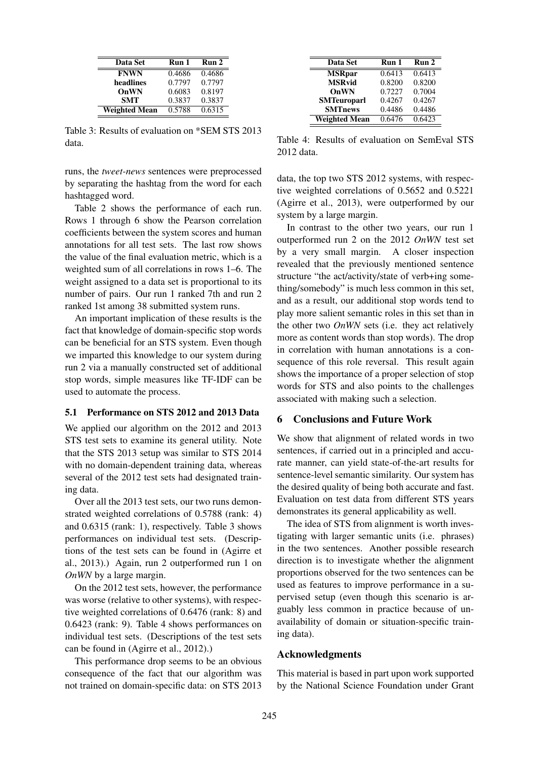| Data Set             | Run 1  | Run 2  |
|----------------------|--------|--------|
| <b>FNWN</b>          | 0.4686 | 0.4686 |
| headlines            | 0.7797 | 0.7797 |
| OnWN                 | 0.6083 | 0.8197 |
| <b>SMT</b>           | 0.3837 | 0.3837 |
| <b>Weighted Mean</b> | 0.5788 | 0.6315 |

Table 3: Results of evaluation on \*SEM STS 2013 data.

runs, the *tweet-news* sentences were preprocessed by separating the hashtag from the word for each hashtagged word.

Table 2 shows the performance of each run. Rows 1 through 6 show the Pearson correlation coefficients between the system scores and human annotations for all test sets. The last row shows the value of the final evaluation metric, which is a weighted sum of all correlations in rows 1–6. The weight assigned to a data set is proportional to its number of pairs. Our run 1 ranked 7th and run 2 ranked 1st among 38 submitted system runs.

An important implication of these results is the fact that knowledge of domain-specific stop words can be beneficial for an STS system. Even though we imparted this knowledge to our system during run 2 via a manually constructed set of additional stop words, simple measures like TF-IDF can be used to automate the process.

### 5.1 Performance on STS 2012 and 2013 Data

We applied our algorithm on the 2012 and 2013 STS test sets to examine its general utility. Note that the STS 2013 setup was similar to STS 2014 with no domain-dependent training data, whereas several of the 2012 test sets had designated training data.

Over all the 2013 test sets, our two runs demonstrated weighted correlations of 0.5788 (rank: 4) and 0.6315 (rank: 1), respectively. Table 3 shows performances on individual test sets. (Descriptions of the test sets can be found in (Agirre et al., 2013).) Again, run 2 outperformed run 1 on *OnWN* by a large margin.

On the 2012 test sets, however, the performance was worse (relative to other systems), with respective weighted correlations of 0.6476 (rank: 8) and 0.6423 (rank: 9). Table 4 shows performances on individual test sets. (Descriptions of the test sets can be found in (Agirre et al., 2012).)

This performance drop seems to be an obvious consequence of the fact that our algorithm was not trained on domain-specific data: on STS 2013

| Data Set             | Run 1  | Run 2  |
|----------------------|--------|--------|
| <b>MSRpar</b>        | 0.6413 | 0.6413 |
| <b>MSRvid</b>        | 0.8200 | 0.8200 |
| OnWN                 | 0.7227 | 0.7004 |
| <b>SMTeuroparl</b>   | 0.4267 | 0.4267 |
| <b>SMTnews</b>       | 0.4486 | 0.4486 |
| <b>Weighted Mean</b> | 0.6476 | 0.6423 |

Table 4: Results of evaluation on SemEval STS 2012 data.

data, the top two STS 2012 systems, with respective weighted correlations of 0.5652 and 0.5221 (Agirre et al., 2013), were outperformed by our system by a large margin.

In contrast to the other two years, our run 1 outperformed run 2 on the 2012 *OnWN* test set by a very small margin. A closer inspection revealed that the previously mentioned sentence structure "the act/activity/state of verb+ing something/somebody" is much less common in this set, and as a result, our additional stop words tend to play more salient semantic roles in this set than in the other two *OnWN* sets (i.e. they act relatively more as content words than stop words). The drop in correlation with human annotations is a consequence of this role reversal. This result again shows the importance of a proper selection of stop words for STS and also points to the challenges associated with making such a selection.

# 6 Conclusions and Future Work

We show that alignment of related words in two sentences, if carried out in a principled and accurate manner, can yield state-of-the-art results for sentence-level semantic similarity. Our system has the desired quality of being both accurate and fast. Evaluation on test data from different STS years demonstrates its general applicability as well.

The idea of STS from alignment is worth investigating with larger semantic units (i.e. phrases) in the two sentences. Another possible research direction is to investigate whether the alignment proportions observed for the two sentences can be used as features to improve performance in a supervised setup (even though this scenario is arguably less common in practice because of unavailability of domain or situation-specific training data).

#### Acknowledgments

This material is based in part upon work supported by the National Science Foundation under Grant